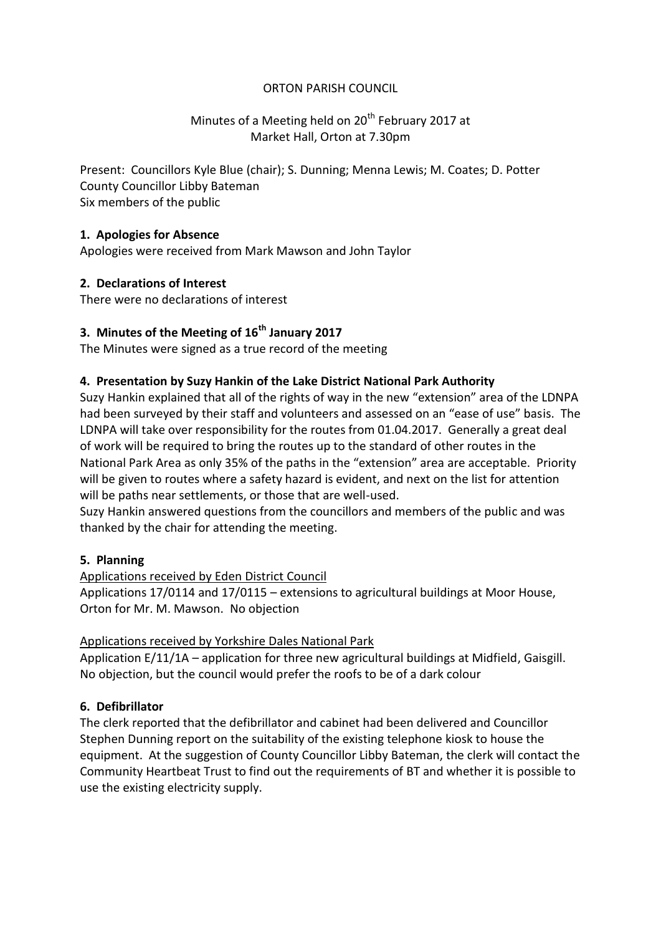### ORTON PARISH COUNCIL

# Minutes of a Meeting held on 20<sup>th</sup> February 2017 at Market Hall, Orton at 7.30pm

Present: Councillors Kyle Blue (chair); S. Dunning; Menna Lewis; M. Coates; D. Potter County Councillor Libby Bateman Six members of the public

### **1. Apologies for Absence**

Apologies were received from Mark Mawson and John Taylor

# **2. Declarations of Interest**

There were no declarations of interest

### **3. Minutes of the Meeting of 16th January 2017**

The Minutes were signed as a true record of the meeting

### **4. Presentation by Suzy Hankin of the Lake District National Park Authority**

Suzy Hankin explained that all of the rights of way in the new "extension" area of the LDNPA had been surveyed by their staff and volunteers and assessed on an "ease of use" basis. The LDNPA will take over responsibility for the routes from 01.04.2017. Generally a great deal of work will be required to bring the routes up to the standard of other routes in the National Park Area as only 35% of the paths in the "extension" area are acceptable. Priority will be given to routes where a safety hazard is evident, and next on the list for attention will be paths near settlements, or those that are well-used.

Suzy Hankin answered questions from the councillors and members of the public and was thanked by the chair for attending the meeting.

### **5. Planning**

Applications received by Eden District Council

Applications 17/0114 and 17/0115 – extensions to agricultural buildings at Moor House, Orton for Mr. M. Mawson. No objection

### Applications received by Yorkshire Dales National Park

Application E/11/1A – application for three new agricultural buildings at Midfield, Gaisgill. No objection, but the council would prefer the roofs to be of a dark colour

### **6. Defibrillator**

The clerk reported that the defibrillator and cabinet had been delivered and Councillor Stephen Dunning report on the suitability of the existing telephone kiosk to house the equipment. At the suggestion of County Councillor Libby Bateman, the clerk will contact the Community Heartbeat Trust to find out the requirements of BT and whether it is possible to use the existing electricity supply.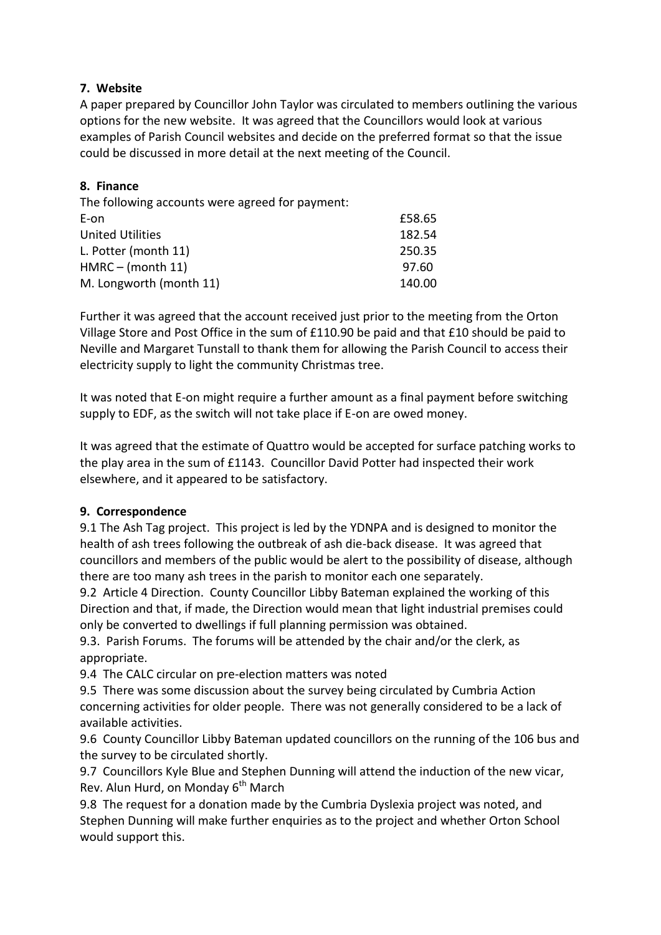### **7. Website**

A paper prepared by Councillor John Taylor was circulated to members outlining the various options for the new website. It was agreed that the Councillors would look at various examples of Parish Council websites and decide on the preferred format so that the issue could be discussed in more detail at the next meeting of the Council.

# **8. Finance**

| The following accounts were agreed for payment: |        |
|-------------------------------------------------|--------|
| E-on                                            | £58.65 |
| <b>United Utilities</b>                         | 182.54 |
| L. Potter (month 11)                            | 250.35 |
| $HMRC - (month 11)$                             | 97.60  |
| M. Longworth (month 11)                         | 140.00 |

Further it was agreed that the account received just prior to the meeting from the Orton Village Store and Post Office in the sum of £110.90 be paid and that £10 should be paid to Neville and Margaret Tunstall to thank them for allowing the Parish Council to access their electricity supply to light the community Christmas tree.

It was noted that E-on might require a further amount as a final payment before switching supply to EDF, as the switch will not take place if E-on are owed money.

It was agreed that the estimate of Quattro would be accepted for surface patching works to the play area in the sum of £1143. Councillor David Potter had inspected their work elsewhere, and it appeared to be satisfactory.

### **9. Correspondence**

9.1 The Ash Tag project. This project is led by the YDNPA and is designed to monitor the health of ash trees following the outbreak of ash die-back disease. It was agreed that councillors and members of the public would be alert to the possibility of disease, although there are too many ash trees in the parish to monitor each one separately.

9.2 Article 4 Direction. County Councillor Libby Bateman explained the working of this Direction and that, if made, the Direction would mean that light industrial premises could only be converted to dwellings if full planning permission was obtained.

9.3. Parish Forums. The forums will be attended by the chair and/or the clerk, as appropriate.

9.4 The CALC circular on pre-election matters was noted

9.5 There was some discussion about the survey being circulated by Cumbria Action concerning activities for older people. There was not generally considered to be a lack of available activities.

9.6 County Councillor Libby Bateman updated councillors on the running of the 106 bus and the survey to be circulated shortly.

9.7 Councillors Kyle Blue and Stephen Dunning will attend the induction of the new vicar, Rev. Alun Hurd, on Monday  $6<sup>th</sup>$  March

9.8 The request for a donation made by the Cumbria Dyslexia project was noted, and Stephen Dunning will make further enquiries as to the project and whether Orton School would support this.